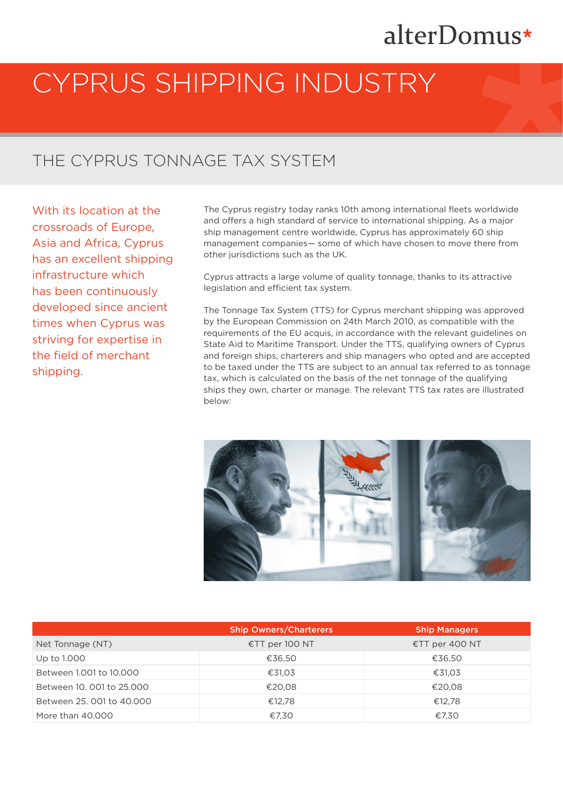## alterDomus\*

# CYPRUS SHIPPING INDUSTRY

#### THE CYPRUS TONNAGE TAX SYSTEM

With its location at the crossroads of Europe, Asia and Africa, Cyprus has an excellent shipping infrastructure which has been continuously developed since ancient times when Cyprus was striving for expertise in the field of merchant shipping.

The Cyprus registry today ranks 10th among international fleets worldwide and offers a high standard of service to international shipping. As a major ship management centre worldwide, Cyprus has approximately 60 ship management companies— some of which have chosen to move there from other jurisdictions such as the UK.

Cyprus attracts a large volume of quality tonnage, thanks to its attractive legislation and efficient tax system.

The Tonnage Tax System (TTS) for Cyprus merchant shipping was approved by the European Commission on 24th March 2010, as compatible with the requirements of the EU acquis, in accordance with the relevant guidelines on State Aid to Maritime Transport. Under the TTS, qualifying owners of Cyprus and foreign ships, charterers and ship managers who opted and are accepted to be taxed under the TTS are subject to an annual tax referred to as tonnage tax, which is calculated on the basis of the net tonnage of the qualifying ships they own, charter or manage. The relevant TTS tax rates are illustrated below:



|                           | <b>Ship Owners/Charterers</b> | <b>Ship Managers</b> |
|---------------------------|-------------------------------|----------------------|
| Net Tonnage (NT)          | €TT per 100 NT                | €TT per 400 NT       |
| Up to 1.000               | €36.50                        | €36,50               |
| Between 1.001 to 10.000   | €31,03                        | €31,03               |
| Between 10, 001 to 25,000 | €20,08                        | €20,08               |
| Between 25, 001 to 40,000 | €12.78                        | €12.78               |
| More than 40,000          | €7.30                         | €7,30                |